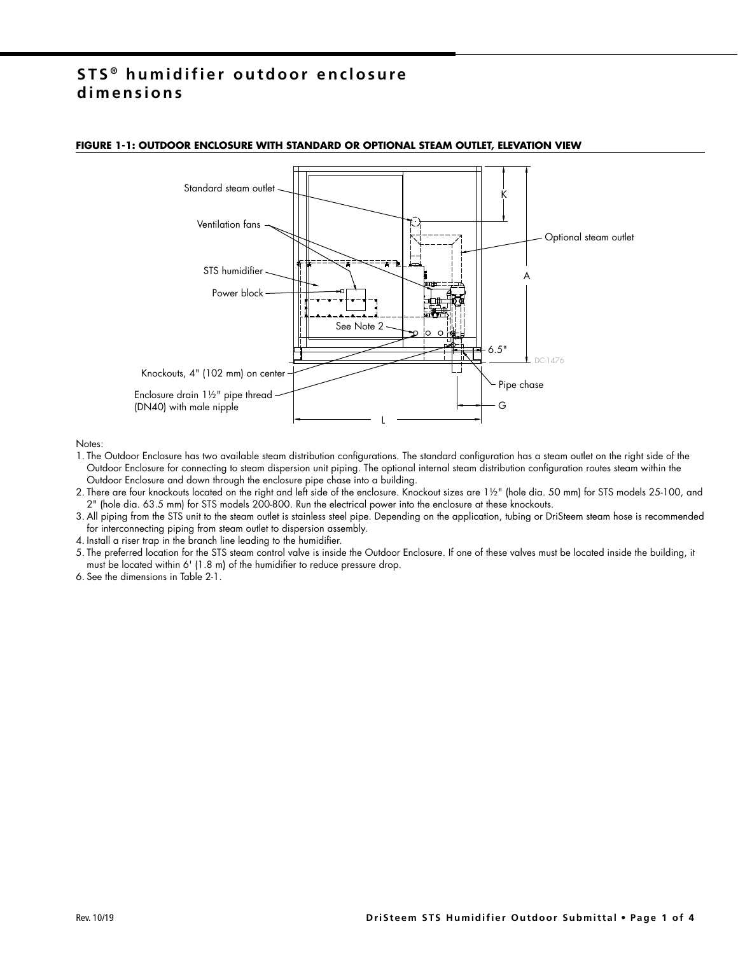## **STS ® h u m i d i f i e r o u t d o o r e n c l o s u re dimensions**



#### **FIGURE 1-1: OUTDOOR ENCLOSURE WITH STANDARD OR OPTIONAL STEAM OUTLET, ELEVATION VIEW**

Notes:

- 1. The Outdoor Enclosure has two available steam distribution configurations. The standard configuration has a steam outlet on the right side of the Outdoor Enclosure for connecting to steam dispersion unit piping. The optional internal steam distribution configuration routes steam within the Outdoor Enclosure and down through the enclosure pipe chase into a building.
- 2. There are four knockouts located on the right and left side of the enclosure. Knockout sizes are 1½" (hole dia. 50 mm) for STS models 25-100, and 2" (hole dia. 63.5 mm) for STS models 200-800. Run the electrical power into the enclosure at these knockouts.
- 3. All piping from the STS unit to the steam outlet is stainless steel pipe. Depending on the application, tubing or DriSteem steam hose is recommended for interconnecting piping from steam outlet to dispersion assembly.
- 4. Install a riser trap in the branch line leading to the humidifier.
- 5. The preferred location for the STS steam control valve is inside the Outdoor Enclosure. If one of these valves must be located inside the building, it must be located within 6' (1.8 m) of the humidifier to reduce pressure drop.
- 6. See the dimensions in Table 2-1.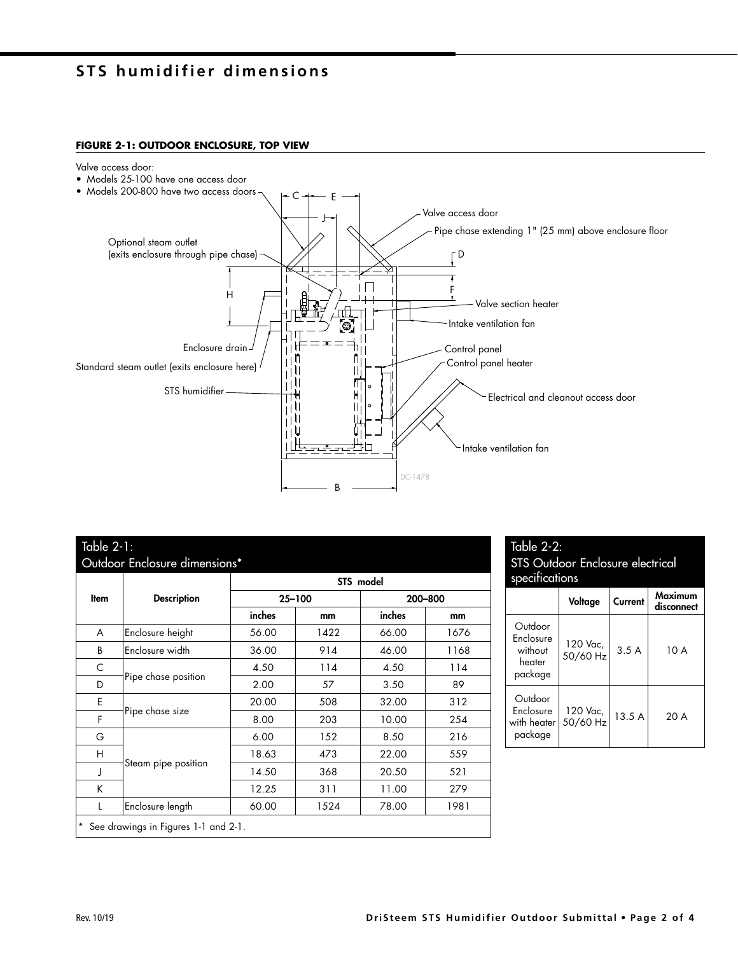# **STS humidifier dimensions**

### **FIGURE 2-1: OUTDOOR ENCLOSURE, TOP VIEW**

Valve access door:

• Models 25-100 have one access door



### Table 2-1: Outdoor Enclosure dimensions\*

|                                      | <b>Description</b>  | STS model  |      |         |      |  |
|--------------------------------------|---------------------|------------|------|---------|------|--|
| Item                                 |                     | $25 - 100$ |      | 200-800 |      |  |
|                                      |                     | inches     | mm   | inches  | mm   |  |
| A                                    | Enclosure height    | 56.00      | 1422 | 66.00   | 1676 |  |
| B                                    | Enclosure width     | 36.00      | 914  | 46.00   | 1168 |  |
| C                                    | Pipe chase position | 4.50       | 114  | 4.50    | 114  |  |
| D                                    |                     | 2.00       | 57   | 3.50    | 89   |  |
| E                                    | Pipe chase size     | 20.00      | 508  | 32.00   | 312  |  |
| F                                    |                     | 8.00       | 203  | 10.00   | 254  |  |
| G                                    | Steam pipe position | 6.00       | 152  | 8.50    | 216  |  |
| H                                    |                     | 18.63      | 473  | 22.00   | 559  |  |
| J                                    |                     | 14.50      | 368  | 20.50   | 521  |  |
| K                                    |                     | 12.25      | 311  | 11.00   | 279  |  |
| L                                    | Enclosure length    | 60.00      | 1524 | 78.00   | 1981 |  |
| See drawings in Figures 1-1 and 2-1. |                     |            |      |         |      |  |

| <u>Table 2-2:</u><br><b>STS Outdoor Enclosure electrical</b><br>specifications |                      |         |                       |  |  |
|--------------------------------------------------------------------------------|----------------------|---------|-----------------------|--|--|
|                                                                                | Voltage              | Current | Maximum<br>disconnect |  |  |
| Outdoor<br>Enclosure<br>without<br>heater<br>package                           | 120 Vac,<br>50/60 Hz | 3.5A    | 10 A                  |  |  |
| Outdoor<br>Enclosure<br>with heater<br>package                                 | 120 Vac,<br>50/60 Hz | 13.5A   | 20 A                  |  |  |